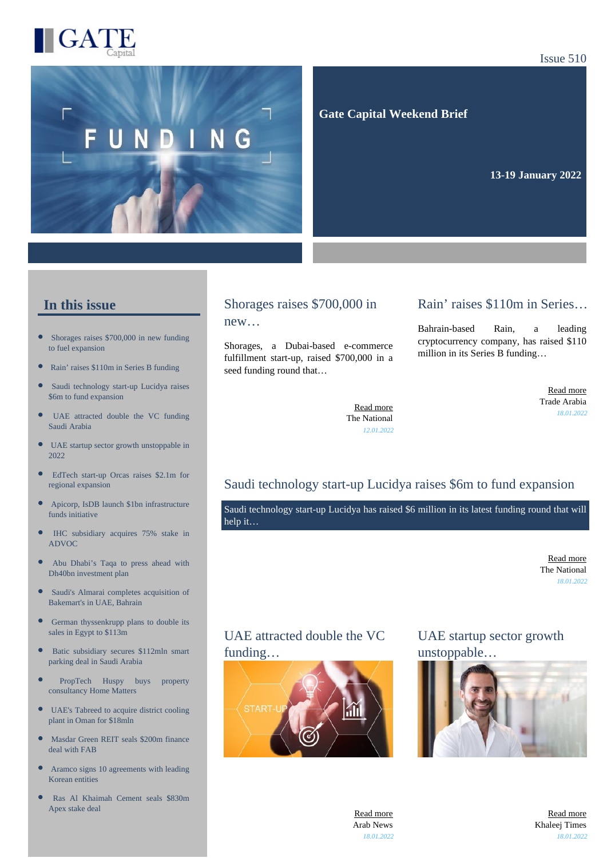

#### Issue 510



 **Gate Capital Weekend Brief**

**13-19 January 2022** 

#### **In this issue**

- $\bullet$ [Shorages raises \\$700,000 in new funding](https://gatecapital.net/back_office/newsletters/tracking/5594/652) [to fuel expansion](https://gatecapital.net/back_office/newsletters/tracking/5594/652)
- [Rain' raises \\$110m in Series B funding](https://gatecapital.net/back_office/newsletters/tracking/5599/652)
- $\bullet$ [Saudi technology start-up Lucidya raises](https://gatecapital.net/back_office/newsletters/tracking/5597/652) [\\$6m to fund expansion](https://gatecapital.net/back_office/newsletters/tracking/5597/652)
- [UAE attracted double the VC funding](https://gatecapital.net/back_office/newsletters/tracking/5602/652) [Saudi Arabia](https://gatecapital.net/back_office/newsletters/tracking/5602/652)
- $\bullet$ [UAE startup sector growth unstoppable in](https://gatecapital.net/back_office/newsletters/tracking/5600/652) [2022](https://gatecapital.net/back_office/newsletters/tracking/5600/652)
- $\bullet$ [EdTech start-up Orcas raises \\$2.1m for](https://gatecapital.net/back_office/newsletters/tracking/5595/652) [regional expansion](https://gatecapital.net/back_office/newsletters/tracking/5595/652)
- [Apicorp, IsDB launch \\$1bn infrastructure](https://gatecapital.net/back_office/newsletters/tracking/5591/652) [funds initiative](https://gatecapital.net/back_office/newsletters/tracking/5591/652)
- $\bullet$ [IHC subsidiary acquires 75% stake in](https://gatecapital.net/back_office/newsletters/tracking/5592/652) [ADVOC](https://gatecapital.net/back_office/newsletters/tracking/5592/652)
- $\bullet$ [Abu Dhabi's Taqa to press ahead with](https://gatecapital.net/back_office/newsletters/tracking/5598/652) [Dh40bn investment plan](https://gatecapital.net/back_office/newsletters/tracking/5598/652)
- $\bullet$ [Saudi's Almarai completes acquisition of](https://gatecapital.net/back_office/newsletters/tracking/5593/652) [Bakemart's in UAE, Bahrain](https://gatecapital.net/back_office/newsletters/tracking/5593/652)
- $\bullet$ [German thyssenkrupp plans to double its](https://gatecapital.net/back_office/newsletters/tracking/5604/652) [sales in Egypt to \\$113m](https://gatecapital.net/back_office/newsletters/tracking/5604/652)
- $\bullet$ [Batic subsidiary secures \\$112mln smart](https://gatecapital.net/back_office/newsletters/tracking/5601/652) [parking deal in Saudi Arabia](https://gatecapital.net/back_office/newsletters/tracking/5601/652)
- [PropTech Huspy buys property](https://gatecapital.net/back_office/newsletters/tracking/5603/652) [consultancy Home Matters](https://gatecapital.net/back_office/newsletters/tracking/5603/652)
- $\bullet$ [UAE's Tabreed to acquire district cooling](https://gatecapital.net/back_office/newsletters/tracking/5596/652) [plant in Oman for \\$18mln](https://gatecapital.net/back_office/newsletters/tracking/5596/652)
- $\bullet$ [Masdar Green REIT seals \\$200m finance](https://gatecapital.net/back_office/newsletters/tracking/5605/652) [deal with FAB](https://gatecapital.net/back_office/newsletters/tracking/5605/652)
- $\bullet$ [Aramco signs 10 agreements with leading](https://gatecapital.net/back_office/newsletters/tracking/5606/652) [Korean entities](https://gatecapital.net/back_office/newsletters/tracking/5606/652)
- [Ras Al Khaimah Cement seals \\$830m](https://gatecapital.net/back_office/newsletters/tracking/5590/652) [Apex stake deal](https://gatecapital.net/back_office/newsletters/tracking/5590/652)

#### Shorages raises \$700,000 in new…

Shorages, a Dubai-based e-commerce fulfillment start-up, raised \$700,000 in a seed funding round that…

#### Rain' raises \$110m in Series…

Bahrain-based Rain, a leading cryptocurrency company, has raised \$110 million in its Series B funding…

> [Read more](https://gatecapital.net/back_office/newsletters/tracking/5599/652) Trade Arabia *18.01.2022*

[Read more](https://gatecapital.net/back_office/newsletters/tracking/5594/652) The National *12.01.2022*

### Saudi technology start-up Lucidya raises \$6m to fund expansion

Saudi technology start-up Lucidya has raised \$6 million in its latest funding round that will help it…

> [Read more](https://gatecapital.net/back_office/newsletters/tracking/5597/652) The National *18.01.2022*

### UAE attracted double the VC funding…



## UAE startup sector growth unstoppable…



[Read more](https://gatecapital.net/back_office/newsletters/tracking/5602/652) Arab News *18.01.2022*

[Read more](https://gatecapital.net/back_office/newsletters/tracking/5600/652) Khaleej Times *18.01.2022*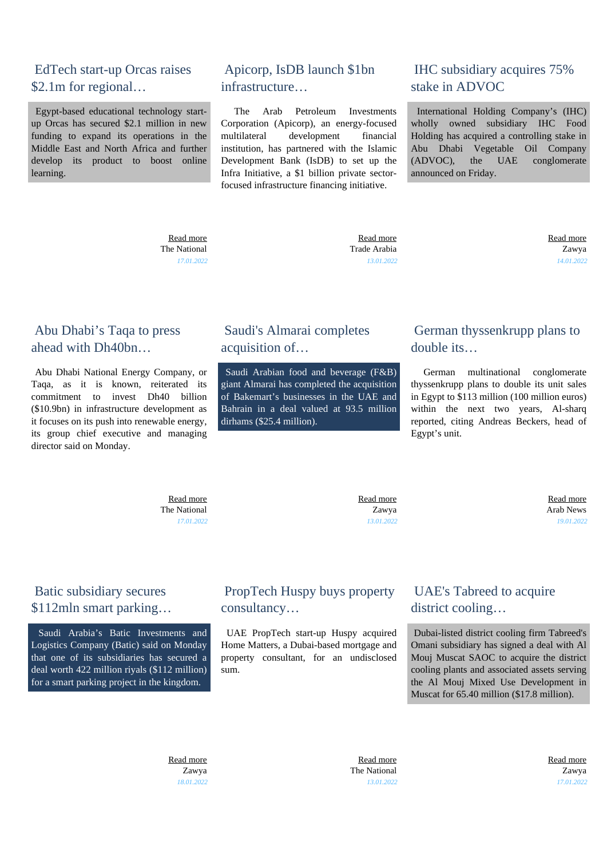## EdTech start-up Orcas raises \$2.1m for regional...

 Egypt-based educational technology startup Orcas has secured \$2.1 million in new funding to expand its operations in the Middle East and North Africa and further develop its product to boost online learning.

#### [Read more](https://gatecapital.net/back_office/newsletters/tracking/5595/652) The National *17.01.2022*

 Apicorp, IsDB launch \$1bn infrastructure…

 The Arab Petroleum Investments Corporation (Apicorp), an energy-focused multilateral development financial institution, has partnered with the Islamic Development Bank (IsDB) to set up the Infra Initiative, a \$1 billion private sectorfocused infrastructure financing initiative.

## IHC subsidiary acquires 75% stake in ADVOC

 International Holding Company's (IHC) wholly owned subsidiary IHC Food Holding has acquired a controlling stake in Abu Dhabi Vegetable Oil Company (ADVOC), the UAE conglomerate announced on Friday.

 [Read more](https://gatecapital.net/back_office/newsletters/tracking/5591/652) Trade Arabia *13.01.2022*  [Read more](https://gatecapital.net/back_office/newsletters/tracking/5592/652) Zawya *14.01.2022*

## Abu Dhabi's Taqa to press ahead with Dh40bn…

 Abu Dhabi National Energy Company, or Taqa, as it is known, reiterated its commitment to invest Dh40 billion (\$10.9bn) in infrastructure development as it focuses on its push into renewable energy, its group chief executive and managing director said on Monday.

## Saudi's Almarai completes acquisition of…

 Saudi Arabian food and beverage (F&B) giant Almarai has completed the acquisition of Bakemart's businesses in the UAE and Bahrain in a deal valued at 93.5 million dirhams (\$25.4 million).

# German thyssenkrupp plans to double its…

 German multinational conglomerate thyssenkrupp plans to double its unit sales in Egypt to \$113 million (100 million euros) within the next two years. Al-sharq reported, citing Andreas Beckers, head of Egypt's unit.

 [Read more](https://gatecapital.net/back_office/newsletters/tracking/5598/652) The National *17.01.2022*

 [Read more](https://gatecapital.net/back_office/newsletters/tracking/5593/652) Zawya *13.01.2022*

 [Read more](https://gatecapital.net/back_office/newsletters/tracking/5604/652) Arab News *19.01.2022*

# Batic subsidiary secures \$112mln smart parking…

 Saudi Arabia's Batic Investments and Logistics Company (Batic) said on Monday that one of its subsidiaries has secured a deal worth 422 million riyals (\$112 million) for a smart parking project in the kingdom.

# PropTech Huspy buys property consultancy…

 UAE PropTech start-up Huspy acquired Home Matters, a Dubai-based mortgage and property consultant, for an undisclosed sum.

# UAE's Tabreed to acquire district cooling…

 Dubai-listed district cooling firm Tabreed's Omani subsidiary has signed a deal with Al Mouj Muscat SAOC to acquire the district cooling plants and associated assets serving the Al Mouj Mixed Use Development in Muscat for 65.40 million (\$17.8 million).

 [Read more](https://gatecapital.net/back_office/newsletters/tracking/5601/652) Zawya *18.01.2022*

 [Read more](https://gatecapital.net/back_office/newsletters/tracking/5603/652) The National *13.01.2022*  [Read more](https://gatecapital.net/back_office/newsletters/tracking/5596/652) Zawya *17.01.2022*